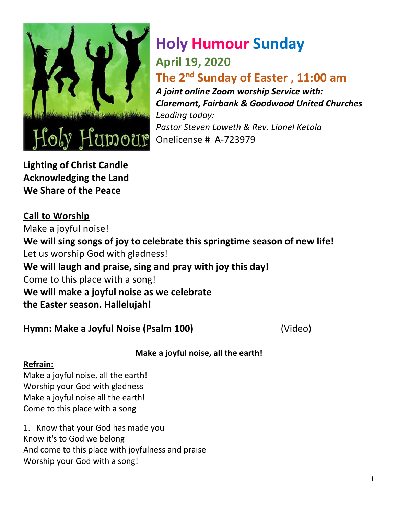

# **Holy Humour Sunday April 19, 2020 The 2nd Sunday of Easter , 11:00 am**  *A joint online Zoom worship Service with:*

*Claremont, Fairbank & Goodwood United Churches Leading today: Pastor Steven Loweth & Rev. Lionel Ketola* Onelicense # A-723979

**Lighting of Christ Candle Acknowledging the Land We Share of the Peace**

**Call to Worship** Make a joyful noise! **We will sing songs of joy to celebrate this springtime season of new life!** Let us worship God with gladness! **We will laugh and praise, sing and pray with joy this day!** Come to this place with a song! **We will make a joyful noise as we celebrate the Easter season. Hallelujah!**

**Hymn: Make a Joyful Noise (Psalm 100)** (Video)

**Make a joyful noise, all the earth!**

### **Refrain:**

Make a joyful noise, all the earth! Worship your God with gladness Make a joyful noise all the earth! Come to this place with a song

1. Know that your God has made you Know it's to God we belong And come to this place with joyfulness and praise Worship your God with a song!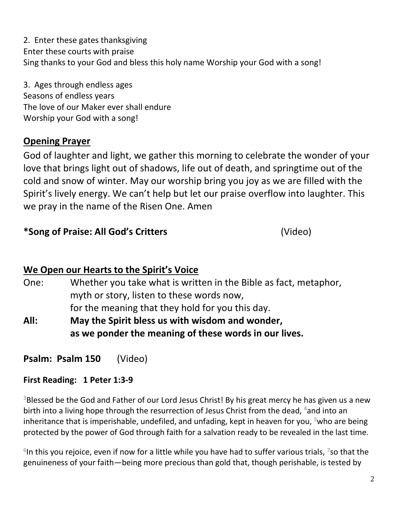2. Enter these gates thanksgiving Enter these courts with praise Sing thanks to your God and bless this holy name Worship your God with a song!

3. Ages through endless ages Seasons of endless years The love of our Maker ever shall endure Worship your God with a song!

#### **Opening Prayer**

God of laughter and light, we gather this morning to celebrate the wonder of your love that brings light out of shadows, life out of death, and springtime out of the cold and snow of winter. May our worship bring you joy as we are filled with the Spirit's lively energy. We can't help but let our praise overflow into laughter. This we pray in the name of the Risen One. Amen

#### **\*Song of Praise: All God's Critters** (Video)

#### **We Open our Hearts to the Spirit's Voice**

- One: Whether you take what is written in the Bible as fact, metaphor, myth or story, listen to these words now, for the meaning that they hold for you this day.
- **All: May the Spirit bless us with wisdom and wonder, as we ponder the meaning of these words in our lives.**

**Psalm: Psalm 150** (Video)

#### **First Reading: 1 Peter 1:3-9**

<sup>3</sup>Blessed be the God and Father of our Lord Jesus Christ! By his great mercy he has given us a new birth into a living hope through the resurrection of Jesus Christ from the dead, <sup>4</sup>and into an inheritance that is imperishable, undefiled, and unfading, kept in heaven for you,  $5$ who are being protected by the power of God through faith for a salvation ready to be revealed in the last time.

 $6$ In this you rejoice, even if now for a little while you have had to suffer various trials,  $7$ so that the genuineness of your faith—being more precious than gold that, though perishable, is tested by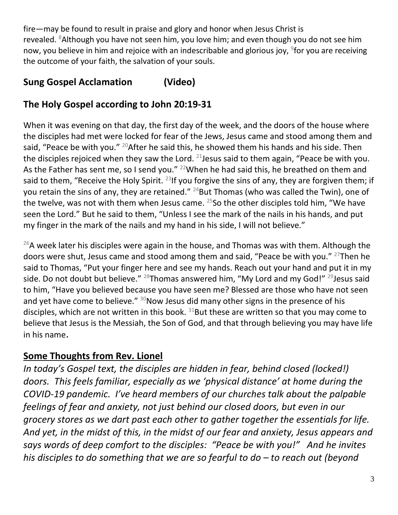fire—may be found to result in praise and glory and honor when Jesus Christ is revealed. <sup>8</sup>Although you have not seen him, you love him; and even though you do not see him now, you believe in him and rejoice with an indescribable and glorious joy, <sup>9</sup>for you are receiving the outcome of your faith, the salvation of your souls.

#### **Sung Gospel Acclamation (Video)**

#### **The Holy Gospel according to John 20:19-31**

When it was evening on that day, the first day of the week, and the doors of the house where the disciples had met were locked for fear of the Jews, Jesus came and stood among them and said, "Peace be with you." <sup>20</sup> After he said this, he showed them his hands and his side. Then the disciples rejoiced when they saw the Lord.  $21$  Jesus said to them again, "Peace be with you. As the Father has sent me, so I send you." <sup>22</sup>When he had said this, he breathed on them and said to them, "Receive the Holy Spirit. <sup>23</sup>If you forgive the sins of any, they are forgiven them; if you retain the sins of any, they are retained."  $^{24}$ But Thomas (who was called the Twin), one of the twelve, was not with them when Jesus came.  $25$ So the other disciples told him, "We have seen the Lord." But he said to them, "Unless I see the mark of the nails in his hands, and put my finger in the mark of the nails and my hand in his side, I will not believe."

<sup>26</sup>A week later his disciples were again in the house, and Thomas was with them. Although the doors were shut, Jesus came and stood among them and said, "Peace be with you." <sup>27</sup>Then he said to Thomas, "Put your finger here and see my hands. Reach out your hand and put it in my side. Do not doubt but believe."  $^{28}$ Thomas answered him, "My Lord and my God!"  $^{29}$ Jesus said to him, "Have you believed because you have seen me? Blessed are those who have not seen and yet have come to believe."  $30$ Now Jesus did many other signs in the presence of his disciples, which are not written in this book.  $31$ But these are written so that you may come to believe that Jesus is the Messiah, the Son of God, and that through believing you may have life in his name.

### **Some Thoughts from Rev. Lionel**

*In today's Gospel text, the disciples are hidden in fear, behind closed (locked!) doors. This feels familiar, especially as we 'physical distance' at home during the COVID-19 pandemic. I've heard members of our churches talk about the palpable feelings of fear and anxiety, not just behind our closed doors, but even in our grocery stores as we dart past each other to gather together the essentials for life. And yet, in the midst of this, in the midst of our fear and anxiety, Jesus appears and says words of deep comfort to the disciples: "Peace be with you!" And he invites his disciples to do something that we are so fearful to do – to reach out (beyond*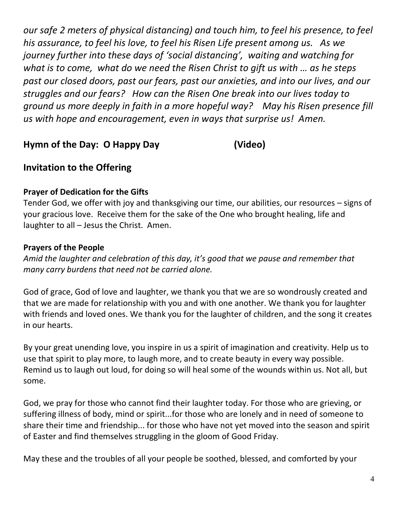*our safe 2 meters of physical distancing) and touch him, to feel his presence, to feel his assurance, to feel his love, to feel his Risen Life present among us. As we journey further into these days of 'social distancing', waiting and watching for what is to come, what do we need the Risen Christ to gift us with … as he steps past our closed doors, past our fears, past our anxieties, and into our lives, and our struggles and our fears? How can the Risen One break into our lives today to ground us more deeply in faith in a more hopeful way? May his Risen presence fill us with hope and encouragement, even in ways that surprise us! Amen.* 

#### **Hymn of the Day: O Happy Day (Video)**

#### **Invitation to the Offering**

#### **Prayer of Dedication for the Gifts**

Tender God, we offer with joy and thanksgiving our time, our abilities, our resources – signs of your gracious love. Receive them for the sake of the One who brought healing, life and laughter to all – Jesus the Christ. Amen.

#### **Prayers of the People**

*Amid the laughter and celebration of this day, it's good that we pause and remember that many carry burdens that need not be carried alone.*

God of grace, God of love and laughter, we thank you that we are so wondrously created and that we are made for relationship with you and with one another. We thank you for laughter with friends and loved ones. We thank you for the laughter of children, and the song it creates in our hearts.

By your great unending love, you inspire in us a spirit of imagination and creativity. Help us to use that spirit to play more, to laugh more, and to create beauty in every way possible. Remind us to laugh out loud, for doing so will heal some of the wounds within us. Not all, but some.

God, we pray for those who cannot find their laughter today. For those who are grieving, or suffering illness of body, mind or spirit...for those who are lonely and in need of someone to share their time and friendship... for those who have not yet moved into the season and spirit of Easter and find themselves struggling in the gloom of Good Friday.

May these and the troubles of all your people be soothed, blessed, and comforted by your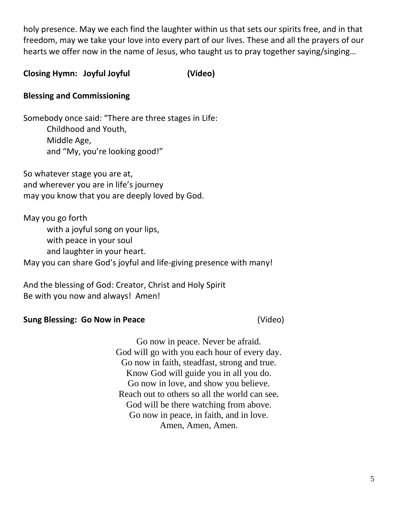holy presence. May we each find the laughter within us that sets our spirits free, and in that freedom, may we take your love into every part of our lives. These and all the prayers of our hearts we offer now in the name of Jesus, who taught us to pray together saying/singing…

**Closing Hymn: Joyful Joyful (Video)**

#### **Blessing and Commissioning**

Somebody once said: "There are three stages in Life: Childhood and Youth, Middle Age, and "My, you're looking good!"

So whatever stage you are at, and wherever you are in life's journey may you know that you are deeply loved by God.

May you go forth with a joyful song on your lips, with peace in your soul and laughter in your heart. May you can share God's joyful and life-giving presence with many!

And the blessing of God: Creator, Christ and Holy Spirit Be with you now and always! Amen!

#### **Sung Blessing: Go Now in Peace** (Video)

Go now in peace. Never be afraid. God will go with you each hour of every day. Go now in faith, steadfast, strong and true. Know God will guide you in all you do. Go now in love, and show you believe. Reach out to others so all the world can see. God will be there watching from above. Go now in peace, in faith, and in love. Amen, Amen, Amen.